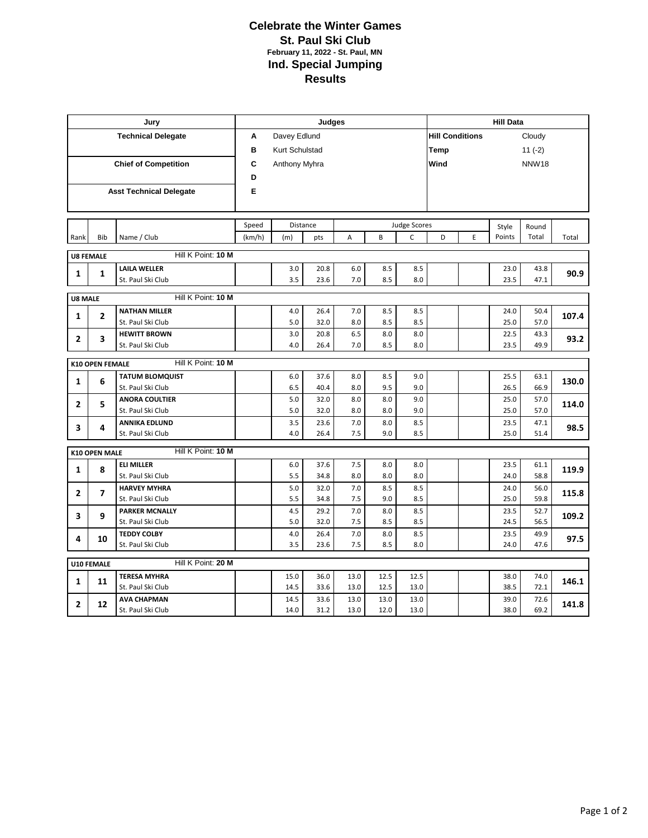## **Celebrate the Winter Games St. Paul Ski Club February 11, 2022 - St. Paul, MN Ind. Special Jumping Results**

|                                              |                      | Jury                                      | Judges            |                |              |                     |            |                      |                        | <b>Hill Data</b> |              |              |       |  |  |
|----------------------------------------------|----------------------|-------------------------------------------|-------------------|----------------|--------------|---------------------|------------|----------------------|------------------------|------------------|--------------|--------------|-------|--|--|
| <b>Technical Delegate</b>                    |                      |                                           | A                 | Davey Edlund   |              |                     |            |                      | <b>Hill Conditions</b> |                  |              | Cloudy       |       |  |  |
|                                              |                      |                                           | в                 | Kurt Schulstad |              |                     |            |                      | Temp                   |                  |              | $11(-2)$     |       |  |  |
| <b>Chief of Competition</b>                  |                      |                                           | С                 | Anthony Myhra  |              |                     |            | Wind<br><b>NNW18</b> |                        |                  |              |              |       |  |  |
|                                              |                      |                                           | D                 |                |              |                     |            |                      |                        |                  |              |              |       |  |  |
| <b>Asst Technical Delegate</b>               |                      |                                           | Е                 |                |              |                     |            |                      |                        |                  |              |              |       |  |  |
|                                              |                      |                                           |                   |                |              |                     |            |                      |                        |                  |              |              |       |  |  |
|                                              |                      |                                           |                   |                |              |                     |            |                      |                        |                  |              |              |       |  |  |
|                                              |                      |                                           | Speed<br>Distance |                |              | <b>Judge Scores</b> |            |                      |                        |                  | Style        | Round        |       |  |  |
| Rank                                         | Bib                  | Name / Club                               | (km/h)            | (m)            | pts          | $\overline{A}$      | B          | $\mathsf{C}$         | D                      | E                | Points       | Total        | Total |  |  |
| Hill K Point: 10 M<br><b>U8 FEMALE</b>       |                      |                                           |                   |                |              |                     |            |                      |                        |                  |              |              |       |  |  |
| $\mathbf{1}$                                 | $\mathbf{1}$         | <b>LAILA WELLER</b>                       |                   | 3.0            | 20.8         | 6.0                 | 8.5        | 8.5                  |                        |                  | 23.0         | 43.8         | 90.9  |  |  |
|                                              |                      | St. Paul Ski Club                         |                   | 3.5            | 23.6         | 7.0                 | 8.5        | 8.0                  |                        |                  | 23.5         | 47.1         |       |  |  |
| Hill K Point: 10 M<br>U8 MALE                |                      |                                           |                   |                |              |                     |            |                      |                        |                  |              |              |       |  |  |
| $\mathbf{1}$                                 | $\overline{2}$       | <b>NATHAN MILLER</b>                      |                   | 4.0            | 26.4         | 7.0                 | 8.5        | 8.5                  |                        |                  | 24.0         | 50.4         | 107.4 |  |  |
|                                              |                      | St. Paul Ski Club                         |                   | 5.0            | 32.0         | 8.0                 | 8.5        | 8.5                  |                        |                  | 25.0         | 57.0         |       |  |  |
| 2                                            | 3                    | <b>HEWITT BROWN</b>                       |                   | 3.0            | 20.8         | 6.5                 | 8.0        | 8.0                  |                        |                  | 22.5         | 43.3         | 93.2  |  |  |
|                                              |                      | St. Paul Ski Club                         |                   | 4.0            | 26.4         | 7.0                 | 8.5        | 8.0                  |                        |                  | 23.5         | 49.9         |       |  |  |
| Hill K Point: 10 M<br><b>K10 OPEN FEMALE</b> |                      |                                           |                   |                |              |                     |            |                      |                        |                  |              |              |       |  |  |
| $\mathbf{1}$                                 | 6                    | <b>TATUM BLOMQUIST</b>                    |                   | 6.0            | 37.6         | 8.0                 | 8.5        | 9.0                  |                        |                  | 25.5         | 63.1         | 130.0 |  |  |
|                                              |                      | St. Paul Ski Club                         |                   | 6.5            | 40.4         | 8.0                 | 9.5        | 9.0                  |                        |                  | 26.5         | 66.9         |       |  |  |
| $\mathbf{2}$                                 | 5                    | <b>ANORA COULTIER</b>                     |                   | 5.0            | 32.0         | 8.0                 | 8.0        | 9.0                  |                        |                  | 25.0         | 57.0         | 114.0 |  |  |
|                                              |                      | St. Paul Ski Club<br><b>ANNIKA EDLUND</b> |                   | 5.0<br>3.5     | 32.0<br>23.6 | 8.0<br>7.0          | 8.0<br>8.0 | 9.0<br>8.5           |                        |                  | 25.0<br>23.5 | 57.0<br>47.1 |       |  |  |
| 3                                            | 4                    | St. Paul Ski Club                         |                   | 4.0            | 26.4         | 7.5                 | 9.0        | 8.5                  |                        |                  | 25.0         | 51.4         | 98.5  |  |  |
|                                              |                      |                                           |                   |                |              |                     |            |                      |                        |                  |              |              |       |  |  |
|                                              | <b>K10 OPEN MALE</b> | Hill K Point: 10 M                        |                   |                |              |                     |            |                      |                        |                  |              |              |       |  |  |
| $\mathbf{1}$                                 | 8                    | <b>ELI MILLER</b>                         |                   | 6.0            | 37.6         | 7.5                 | 8.0        | 8.0                  |                        |                  | 23.5         | 61.1         | 119.9 |  |  |
|                                              |                      | St. Paul Ski Club<br><b>HARVEY MYHRA</b>  |                   | 5.5            | 34.8<br>32.0 | 8.0<br>7.0          | 8.0<br>8.5 | 8.0<br>8.5           |                        |                  | 24.0<br>24.0 | 58.8         |       |  |  |
| $\overline{2}$                               | 7                    | St. Paul Ski Club                         |                   | 5.0<br>5.5     | 34.8         | 7.5                 | 9.0        | 8.5                  |                        |                  | 25.0         | 56.0<br>59.8 | 115.8 |  |  |
| 3                                            | 9                    | <b>PARKER MCNALLY</b>                     |                   | 4.5            | 29.2         | 7.0                 | 8.0        | 8.5                  |                        |                  | 23.5         | 52.7         |       |  |  |
|                                              |                      | St. Paul Ski Club                         |                   | 5.0            | 32.0         | 7.5                 | 8.5        | 8.5                  |                        |                  | 24.5         | 56.5         | 109.2 |  |  |
| 4                                            | 10                   | <b>TEDDY COLBY</b>                        |                   | 4.0            | 26.4         | 7.0                 | 8.0        | 8.5                  |                        |                  | 23.5         | 49.9         | 97.5  |  |  |
|                                              |                      | St. Paul Ski Club                         |                   | 3.5            | 23.6         | 7.5                 | 8.5        | 8.0                  |                        |                  | 24.0         | 47.6         |       |  |  |
| Hill K Point: 20 M<br>U10 FEMALE             |                      |                                           |                   |                |              |                     |            |                      |                        |                  |              |              |       |  |  |
|                                              |                      | <b>TERESA MYHRA</b>                       |                   | 15.0           | 36.0         | 13.0                | 12.5       | 12.5                 |                        |                  | 38.0         | 74.0         |       |  |  |
| $\mathbf{1}$                                 | 11                   | St. Paul Ski Club                         |                   | 14.5           | 33.6         | 13.0                | 12.5       | 13.0                 |                        |                  | 38.5         | 72.1         | 146.1 |  |  |
| $\overline{2}$                               | 12                   | <b>AVA CHAPMAN</b>                        |                   | 14.5           | 33.6         | 13.0                | 13.0       | 13.0                 |                        |                  | 39.0         | 72.6         | 141.8 |  |  |
|                                              |                      | St. Paul Ski Club                         |                   | 14.0           | 31.2         | 13.0                | 12.0       | 13.0                 |                        |                  | 38.0         | 69.2         |       |  |  |